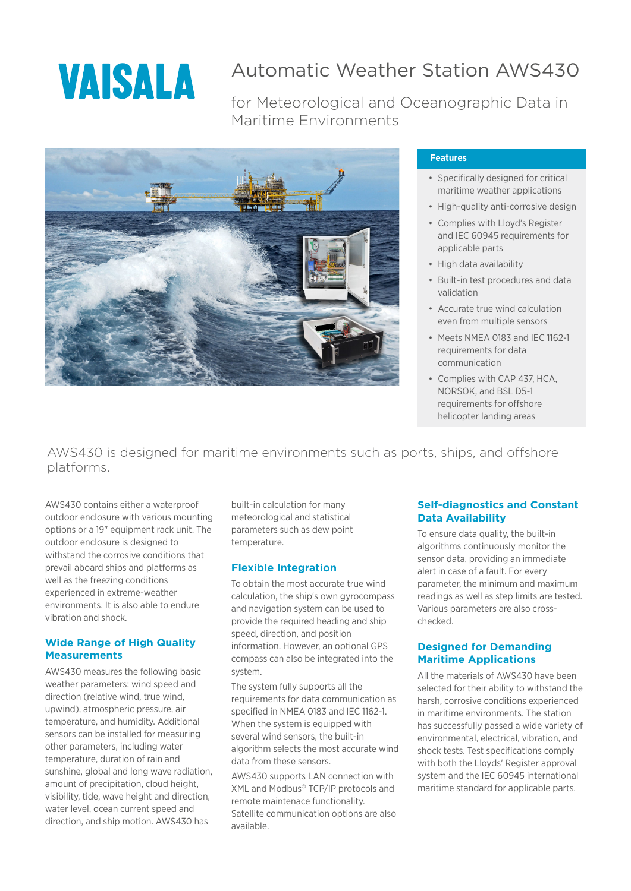

# Automatic Weather Station AWS430

for Meteorological and Oceanographic Data in Maritime Environments



#### **Features**

- Specifically designed for critical maritime weather applications
- High-quality anti-corrosive design
- Complies with Lloyd's Register and IEC 60945 requirements for applicable parts
- High data availability
- Built-in test procedures and data validation
- Accurate true wind calculation even from multiple sensors
- Meets NMEA 0183 and IEC 1162-1 requirements for data communication
- Complies with CAP 437, HCA, NORSOK, and BSL D5-1 requirements for offshore helicopter landing areas

AWS430 is designed for maritime environments such as ports, ships, and offshore platforms.

AWS430 contains either a waterproof outdoor enclosure with various mounting options or a 19" equipment rack unit. The outdoor enclosure is designed to withstand the corrosive conditions that prevail aboard ships and platforms as well as the freezing conditions experienced in extreme-weather environments. It is also able to endure vibration and shock.

### **Wide Range of High Quality Measurements**

AWS430 measures the following basic weather parameters: wind speed and direction (relative wind, true wind, upwind), atmospheric pressure, air temperature, and humidity. Additional sensors can be installed for measuring other parameters, including water temperature, duration of rain and sunshine, global and long wave radiation, amount of precipitation, cloud height, visibility, tide, wave height and direction, water level, ocean current speed and direction, and ship motion. AWS430 has

built-in calculation for many meteorological and statistical parameters such as dew point temperature.

### **Flexible Integration**

To obtain the most accurate true wind calculation, the ship's own gyrocompass and navigation system can be used to provide the required heading and ship speed, direction, and position information. However, an optional GPS compass can also be integrated into the system.

The system fully supports all the requirements for data communication as specified in NMEA 0183 and IEC 1162-1. When the system is equipped with several wind sensors, the built-in algorithm selects the most accurate wind data from these sensors.

AWS430 supports LAN connection with XML and Modbus® TCP/IP protocols and remote maintenace functionality. Satellite communication options are also available.

### **Self-diagnostics and Constant Data Availability**

To ensure data quality, the built-in algorithms continuously monitor the sensor data, providing an immediate alert in case of a fault. For every parameter, the minimum and maximum readings as well as step limits are tested. Various parameters are also crosschecked.

### **Designed for Demanding Maritime Applications**

All the materials of AWS430 have been selected for their ability to withstand the harsh, corrosive conditions experienced in maritime environments. The station has successfully passed a wide variety of environmental, electrical, vibration, and shock tests. Test specifications comply with both the Lloyds' Register approval system and the IEC 60945 international maritime standard for applicable parts.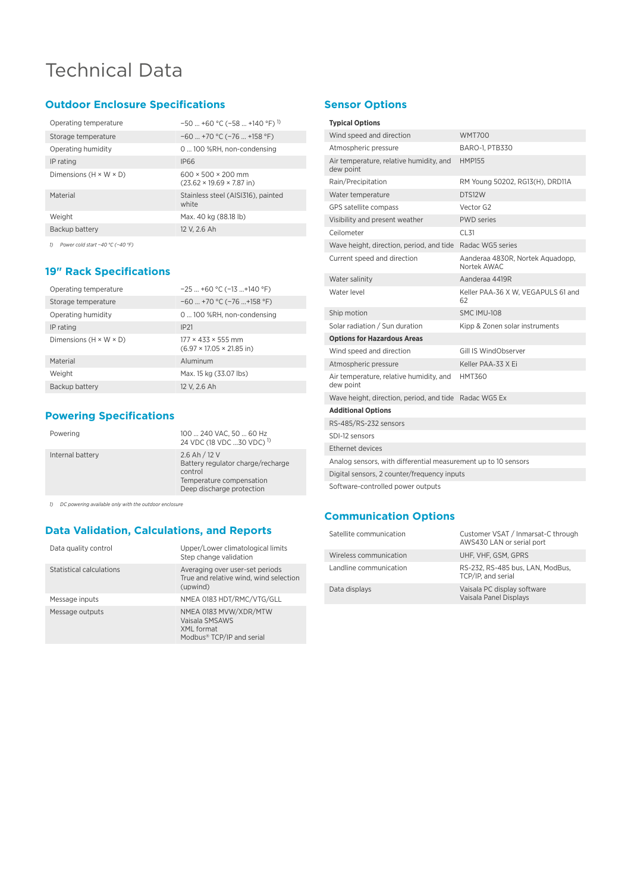# Technical Data

## **Outdoor Enclosure Specifications**

| Operating temperature              | $-50$ +60 °C (-58  +140 °F) <sup>1)</sup>                               |
|------------------------------------|-------------------------------------------------------------------------|
| Storage temperature                | $-60$ +70 °C ( $-76$ +158 °F)                                           |
| Operating humidity                 | 0  100 %RH. non-condensing                                              |
| IP rating                          | <b>IP66</b>                                                             |
| Dimensions $(H \times W \times D)$ | $600 \times 500 \times 200$ mm<br>$(23.62 \times 19.69 \times 7.87$ in) |
| Material                           | Stainless steel (AISI316), painted<br>white                             |
| Weight                             | Max. 40 kg (88.18 lb)                                                   |
| Backup battery                     | 12 V. 2.6 Ah                                                            |
|                                    |                                                                         |

*1) Power cold start −40 °C (−40 °F)*

## **19" Rack Specifications**

| Operating temperature              | $-25+60$ °C (-13 +140 °F)                                               |
|------------------------------------|-------------------------------------------------------------------------|
| Storage temperature                | $-60$ +70 °C ( $-76$ +158 °F)                                           |
| Operating humidity                 | 0  100 %RH, non-condensing                                              |
| IP rating                          | <b>IP21</b>                                                             |
| Dimensions $(H \times W \times D)$ | $177 \times 433 \times 555$ mm<br>$(6.97 \times 17.05 \times 21.85$ in) |
| Material                           | Aluminum                                                                |
| Weight                             | Max. 15 kg (33.07 lbs)                                                  |
| Backup battery                     | 12 V. 2.6 Ah                                                            |

## **Powering Specifications**

| Powering         | 100  240 VAC, 50  60 Hz<br>24 VDC (18 VDC  30 VDC) <sup>1)</sup>                                                       |
|------------------|------------------------------------------------------------------------------------------------------------------------|
| Internal battery | 2.6 Ah / 12 V<br>Battery regulator charge/recharge<br>control<br>Temperature compensation<br>Deep discharge protection |
|                  |                                                                                                                        |

*1) DC powering available only with the outdoor enclosure*

## **Data Validation, Calculations, and Reports**

| Data quality control     | Upper/Lower climatological limits<br>Step change validation                                    |
|--------------------------|------------------------------------------------------------------------------------------------|
| Statistical calculations | Averaging over user-set periods<br>True and relative wind, wind selection<br>(upwind)          |
| Message inputs           | NMEA 0183 HDT/RMC/VTG/GLL                                                                      |
| Message outputs          | NMEA 0183 MVW/XDR/MTW<br>Vaisala SMSAWS<br>XML format<br>Modbus <sup>®</sup> TCP/IP and serial |

## **Sensor Options**

#### **Typical Options**

| Wind speed and direction                                       | <b>WMT700</b>                                   |  |
|----------------------------------------------------------------|-------------------------------------------------|--|
| Atmospheric pressure                                           | <b>BARO-1, PTB330</b>                           |  |
|                                                                |                                                 |  |
| Air temperature, relative humidity, and<br>dew point           | <b>HMP155</b>                                   |  |
| Rain/Precipitation                                             | RM Young 50202, RG13(H), DRD11A                 |  |
| Water temperature                                              | DTS12W                                          |  |
| GPS satellite compass                                          | Vector G2                                       |  |
| Visibility and present weather                                 | <b>PWD</b> series                               |  |
| Ceilometer                                                     | CL31                                            |  |
| Wave height, direction, period, and tide                       | Radac WG5 series                                |  |
| Current speed and direction                                    | Aanderaa 4830R, Nortek Aquadopp,<br>Nortek AWAC |  |
| Water salinity                                                 | Aanderaa 4419R                                  |  |
| Water level                                                    | Keller PAA-36 X W, VEGAPULS 61 and<br>62        |  |
| Ship motion                                                    | SMC IMU-108                                     |  |
| Solar radiation / Sun duration                                 | Kipp & Zonen solar instruments                  |  |
| <b>Options for Hazardous Areas</b>                             |                                                 |  |
| Wind speed and direction                                       | Gill IS WindObserver                            |  |
| Atmospheric pressure                                           | Keller PAA-33 X Ei                              |  |
| Air temperature, relative humidity, and<br>dew point           | <b>HMT360</b>                                   |  |
| Wave height, direction, period, and tide Radac WG5 Ex          |                                                 |  |
| <b>Additional Options</b>                                      |                                                 |  |
| RS-485/RS-232 sensors                                          |                                                 |  |
| SDI-12 sensors                                                 |                                                 |  |
| Ethernet devices                                               |                                                 |  |
| Analog sensors, with differential measurement up to 10 sensors |                                                 |  |
| Digital sensors, 2 counter/frequency inputs                    |                                                 |  |
|                                                                |                                                 |  |

### **Communication Options**

| Satellite communication | Customer VSAT / Inmarsat-C through<br>AWS430 LAN or serial port |
|-------------------------|-----------------------------------------------------------------|
| Wireless communication  | UHF. VHF. GSM. GPRS                                             |
| Landline communication  | RS-232, RS-485 bus, LAN, ModBus,<br>TCP/IP, and serial          |
| Data displays           | Vaisala PC display software<br>Vaisala Panel Displays           |